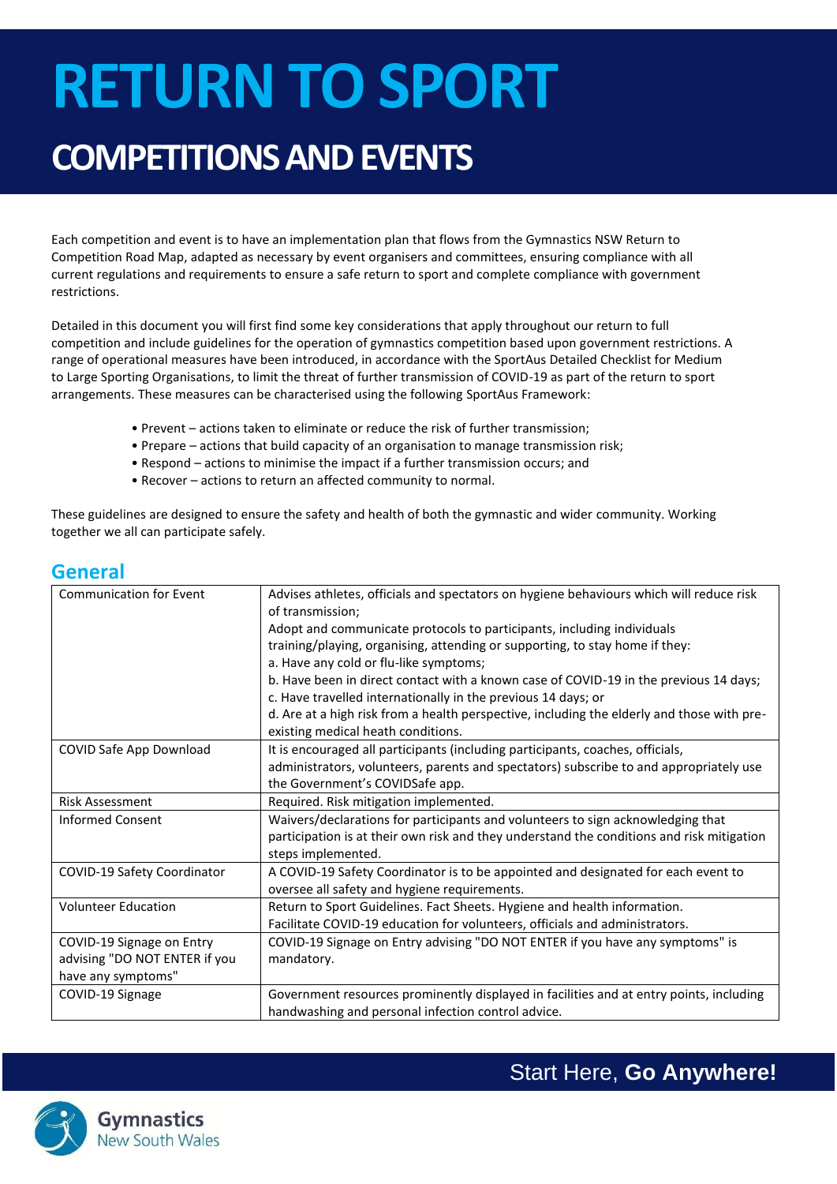# **RETURN TO SPORT**

## **COMPETITIONS AND EVENTS**

Each competition and event is to have an implementation plan that flows from the Gymnastics NSW Return to Competition Road Map, adapted as necessary by event organisers and committees, ensuring compliance with all current regulations and requirements to ensure a safe return to sport and complete compliance with government restrictions.

Detailed in this document you will first find some key considerations that apply throughout our return to full competition and include guidelines for the operation of gymnastics competition based upon government restrictions. A range of operational measures have been introduced, in accordance with the SportAus Detailed Checklist for Medium to Large Sporting Organisations, to limit the threat of further transmission of COVID-19 as part of the return to sport arrangements. These measures can be characterised using the following SportAus Framework:

- Prevent actions taken to eliminate or reduce the risk of further transmission;
- Prepare actions that build capacity of an organisation to manage transmission risk;
- Respond actions to minimise the impact if a further transmission occurs; and
- Recover actions to return an affected community to normal.

These guidelines are designed to ensure the safety and health of both the gymnastic and wider community. Working together we all can participate safely.

#### **General**

| <b>Communication for Event</b> | Advises athletes, officials and spectators on hygiene behaviours which will reduce risk<br>of transmission;                       |
|--------------------------------|-----------------------------------------------------------------------------------------------------------------------------------|
|                                | Adopt and communicate protocols to participants, including individuals                                                            |
|                                | training/playing, organising, attending or supporting, to stay home if they:                                                      |
|                                | a. Have any cold or flu-like symptoms;                                                                                            |
|                                | b. Have been in direct contact with a known case of COVID-19 in the previous 14 days;                                             |
|                                | c. Have travelled internationally in the previous 14 days; or                                                                     |
|                                | d. Are at a high risk from a health perspective, including the elderly and those with pre-                                        |
|                                | existing medical heath conditions.                                                                                                |
| COVID Safe App Download        | It is encouraged all participants (including participants, coaches, officials,                                                    |
|                                | administrators, volunteers, parents and spectators) subscribe to and appropriately use                                            |
|                                | the Government's COVIDSafe app.                                                                                                   |
| <b>Risk Assessment</b>         | Required. Risk mitigation implemented.                                                                                            |
| <b>Informed Consent</b>        | Waivers/declarations for participants and volunteers to sign acknowledging that                                                   |
|                                | participation is at their own risk and they understand the conditions and risk mitigation                                         |
|                                | steps implemented.                                                                                                                |
| COVID-19 Safety Coordinator    | A COVID-19 Safety Coordinator is to be appointed and designated for each event to<br>oversee all safety and hygiene requirements. |
| <b>Volunteer Education</b>     | Return to Sport Guidelines. Fact Sheets. Hygiene and health information.                                                          |
|                                | Facilitate COVID-19 education for volunteers, officials and administrators.                                                       |
| COVID-19 Signage on Entry      | COVID-19 Signage on Entry advising "DO NOT ENTER if you have any symptoms" is                                                     |
| advising "DO NOT ENTER if you  | mandatory.                                                                                                                        |
| have any symptoms"             |                                                                                                                                   |
| COVID-19 Signage               | Government resources prominently displayed in facilities and at entry points, including                                           |
|                                | handwashing and personal infection control advice.                                                                                |



Start Here, **Go Anywhere!**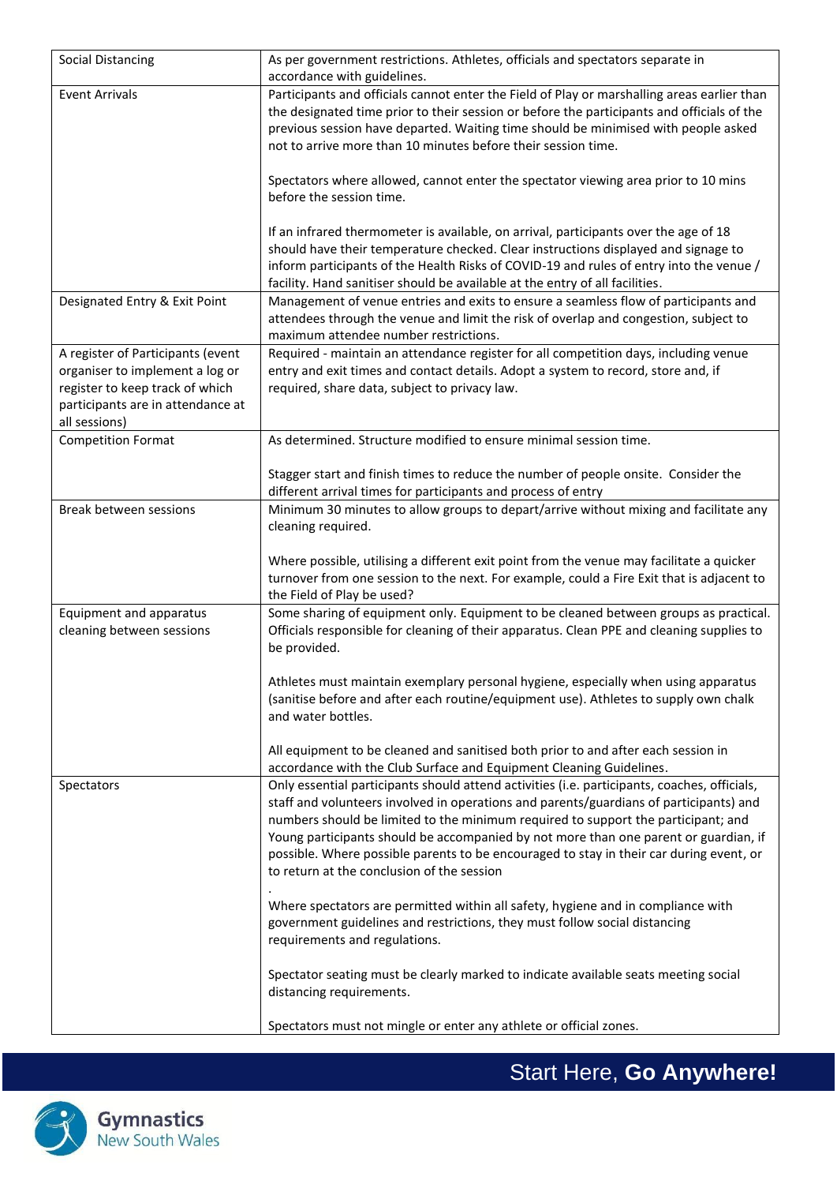| Social Distancing                 | As per government restrictions. Athletes, officials and spectators separate in               |
|-----------------------------------|----------------------------------------------------------------------------------------------|
|                                   |                                                                                              |
|                                   | accordance with guidelines.                                                                  |
| <b>Event Arrivals</b>             | Participants and officials cannot enter the Field of Play or marshalling areas earlier than  |
|                                   | the designated time prior to their session or before the participants and officials of the   |
|                                   | previous session have departed. Waiting time should be minimised with people asked           |
|                                   | not to arrive more than 10 minutes before their session time.                                |
|                                   |                                                                                              |
|                                   | Spectators where allowed, cannot enter the spectator viewing area prior to 10 mins           |
|                                   | before the session time.                                                                     |
|                                   |                                                                                              |
|                                   | If an infrared thermometer is available, on arrival, participants over the age of 18         |
|                                   | should have their temperature checked. Clear instructions displayed and signage to           |
|                                   | inform participants of the Health Risks of COVID-19 and rules of entry into the venue /      |
|                                   | facility. Hand sanitiser should be available at the entry of all facilities.                 |
| Designated Entry & Exit Point     | Management of venue entries and exits to ensure a seamless flow of participants and          |
|                                   | attendees through the venue and limit the risk of overlap and congestion, subject to         |
|                                   |                                                                                              |
|                                   | maximum attendee number restrictions.                                                        |
| A register of Participants (event | Required - maintain an attendance register for all competition days, including venue         |
| organiser to implement a log or   | entry and exit times and contact details. Adopt a system to record, store and, if            |
| register to keep track of which   | required, share data, subject to privacy law.                                                |
| participants are in attendance at |                                                                                              |
| all sessions)                     |                                                                                              |
| <b>Competition Format</b>         | As determined. Structure modified to ensure minimal session time.                            |
|                                   |                                                                                              |
|                                   | Stagger start and finish times to reduce the number of people onsite. Consider the           |
|                                   | different arrival times for participants and process of entry                                |
| Break between sessions            | Minimum 30 minutes to allow groups to depart/arrive without mixing and facilitate any        |
|                                   | cleaning required.                                                                           |
|                                   |                                                                                              |
|                                   | Where possible, utilising a different exit point from the venue may facilitate a quicker     |
|                                   | turnover from one session to the next. For example, could a Fire Exit that is adjacent to    |
|                                   |                                                                                              |
|                                   | the Field of Play be used?                                                                   |
| Equipment and apparatus           | Some sharing of equipment only. Equipment to be cleaned between groups as practical.         |
| cleaning between sessions         | Officials responsible for cleaning of their apparatus. Clean PPE and cleaning supplies to    |
|                                   | be provided.                                                                                 |
|                                   |                                                                                              |
|                                   | Athletes must maintain exemplary personal hygiene, especially when using apparatus           |
|                                   | (sanitise before and after each routine/equipment use). Athletes to supply own chalk         |
|                                   | and water bottles.                                                                           |
|                                   |                                                                                              |
|                                   | All equipment to be cleaned and sanitised both prior to and after each session in            |
|                                   | accordance with the Club Surface and Equipment Cleaning Guidelines.                          |
| Spectators                        | Only essential participants should attend activities (i.e. participants, coaches, officials, |
|                                   | staff and volunteers involved in operations and parents/guardians of participants) and       |
|                                   | numbers should be limited to the minimum required to support the participant; and            |
|                                   | Young participants should be accompanied by not more than one parent or guardian, if         |
|                                   | possible. Where possible parents to be encouraged to stay in their car during event, or      |
|                                   | to return at the conclusion of the session                                                   |
|                                   |                                                                                              |
|                                   |                                                                                              |
|                                   | Where spectators are permitted within all safety, hygiene and in compliance with             |
|                                   | government guidelines and restrictions, they must follow social distancing                   |
|                                   | requirements and regulations.                                                                |
|                                   |                                                                                              |
|                                   | Spectator seating must be clearly marked to indicate available seats meeting social          |
|                                   | distancing requirements.                                                                     |
|                                   |                                                                                              |
|                                   | Spectators must not mingle or enter any athlete or official zones.                           |



Start Here, **Go Anywhere!**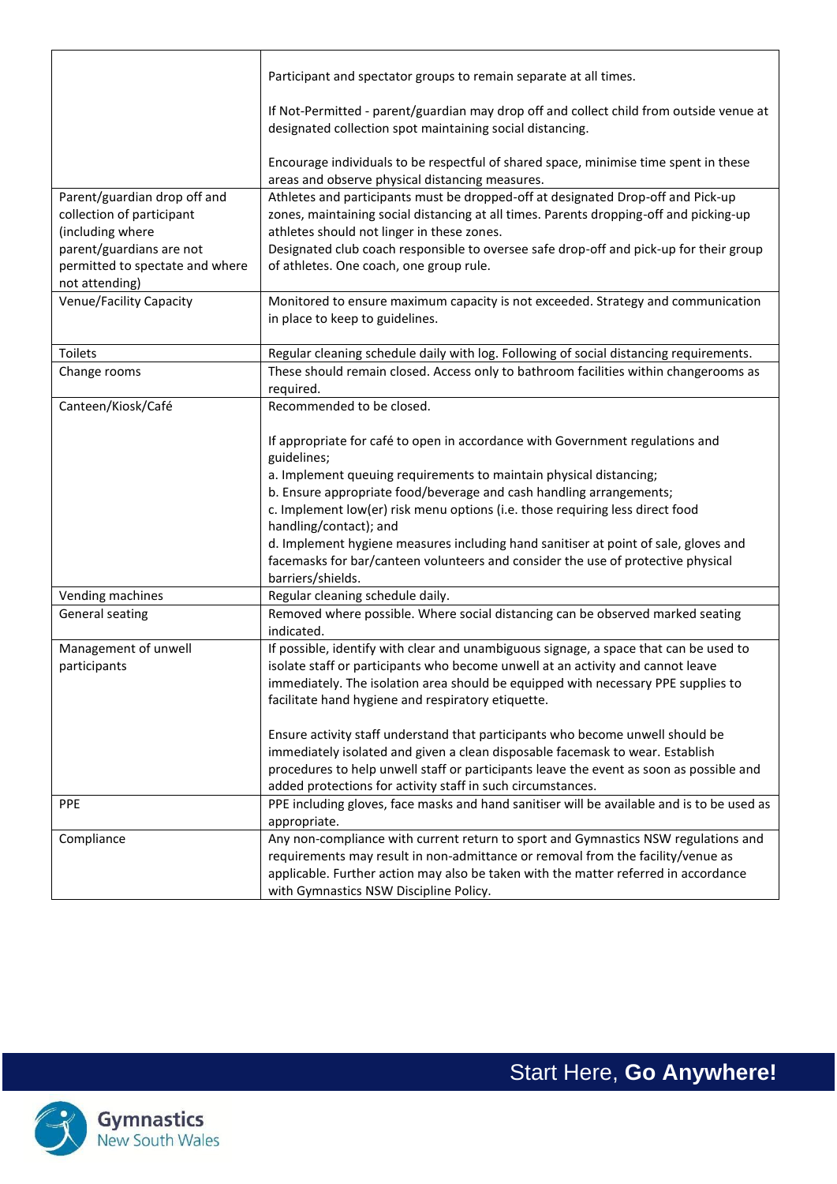|                                                                                                                                                                | Participant and spectator groups to remain separate at all times.                                                                                                                                                                                                                                                                                                                                                                                                                                                                                    |
|----------------------------------------------------------------------------------------------------------------------------------------------------------------|------------------------------------------------------------------------------------------------------------------------------------------------------------------------------------------------------------------------------------------------------------------------------------------------------------------------------------------------------------------------------------------------------------------------------------------------------------------------------------------------------------------------------------------------------|
|                                                                                                                                                                | If Not-Permitted - parent/guardian may drop off and collect child from outside venue at<br>designated collection spot maintaining social distancing.                                                                                                                                                                                                                                                                                                                                                                                                 |
|                                                                                                                                                                | Encourage individuals to be respectful of shared space, minimise time spent in these<br>areas and observe physical distancing measures.                                                                                                                                                                                                                                                                                                                                                                                                              |
| Parent/guardian drop off and<br>collection of participant<br>(including where<br>parent/guardians are not<br>permitted to spectate and where<br>not attending) | Athletes and participants must be dropped-off at designated Drop-off and Pick-up<br>zones, maintaining social distancing at all times. Parents dropping-off and picking-up<br>athletes should not linger in these zones.<br>Designated club coach responsible to oversee safe drop-off and pick-up for their group<br>of athletes. One coach, one group rule.                                                                                                                                                                                        |
| Venue/Facility Capacity                                                                                                                                        | Monitored to ensure maximum capacity is not exceeded. Strategy and communication<br>in place to keep to guidelines.                                                                                                                                                                                                                                                                                                                                                                                                                                  |
| Toilets                                                                                                                                                        | Regular cleaning schedule daily with log. Following of social distancing requirements.                                                                                                                                                                                                                                                                                                                                                                                                                                                               |
| Change rooms                                                                                                                                                   | These should remain closed. Access only to bathroom facilities within changerooms as<br>required.                                                                                                                                                                                                                                                                                                                                                                                                                                                    |
| Canteen/Kiosk/Café                                                                                                                                             | Recommended to be closed.                                                                                                                                                                                                                                                                                                                                                                                                                                                                                                                            |
|                                                                                                                                                                | If appropriate for café to open in accordance with Government regulations and<br>guidelines;<br>a. Implement queuing requirements to maintain physical distancing;<br>b. Ensure appropriate food/beverage and cash handling arrangements;<br>c. Implement low(er) risk menu options (i.e. those requiring less direct food<br>handling/contact); and<br>d. Implement hygiene measures including hand sanitiser at point of sale, gloves and<br>facemasks for bar/canteen volunteers and consider the use of protective physical<br>barriers/shields. |
| Vending machines                                                                                                                                               | Regular cleaning schedule daily.                                                                                                                                                                                                                                                                                                                                                                                                                                                                                                                     |
| General seating                                                                                                                                                | Removed where possible. Where social distancing can be observed marked seating<br>indicated.                                                                                                                                                                                                                                                                                                                                                                                                                                                         |
| Management of unwell<br>participants                                                                                                                           | If possible, identify with clear and unambiguous signage, a space that can be used to<br>isolate staff or participants who become unwell at an activity and cannot leave<br>immediately. The isolation area should be equipped with necessary PPE supplies to<br>facilitate hand hygiene and respiratory etiquette.<br>Ensure activity staff understand that participants who become unwell should be                                                                                                                                                |
|                                                                                                                                                                | immediately isolated and given a clean disposable facemask to wear. Establish<br>procedures to help unwell staff or participants leave the event as soon as possible and<br>added protections for activity staff in such circumstances.                                                                                                                                                                                                                                                                                                              |
| <b>PPE</b>                                                                                                                                                     | PPE including gloves, face masks and hand sanitiser will be available and is to be used as<br>appropriate.                                                                                                                                                                                                                                                                                                                                                                                                                                           |
| Compliance                                                                                                                                                     | Any non-compliance with current return to sport and Gymnastics NSW regulations and<br>requirements may result in non-admittance or removal from the facility/venue as<br>applicable. Further action may also be taken with the matter referred in accordance<br>with Gymnastics NSW Discipline Policy.                                                                                                                                                                                                                                               |

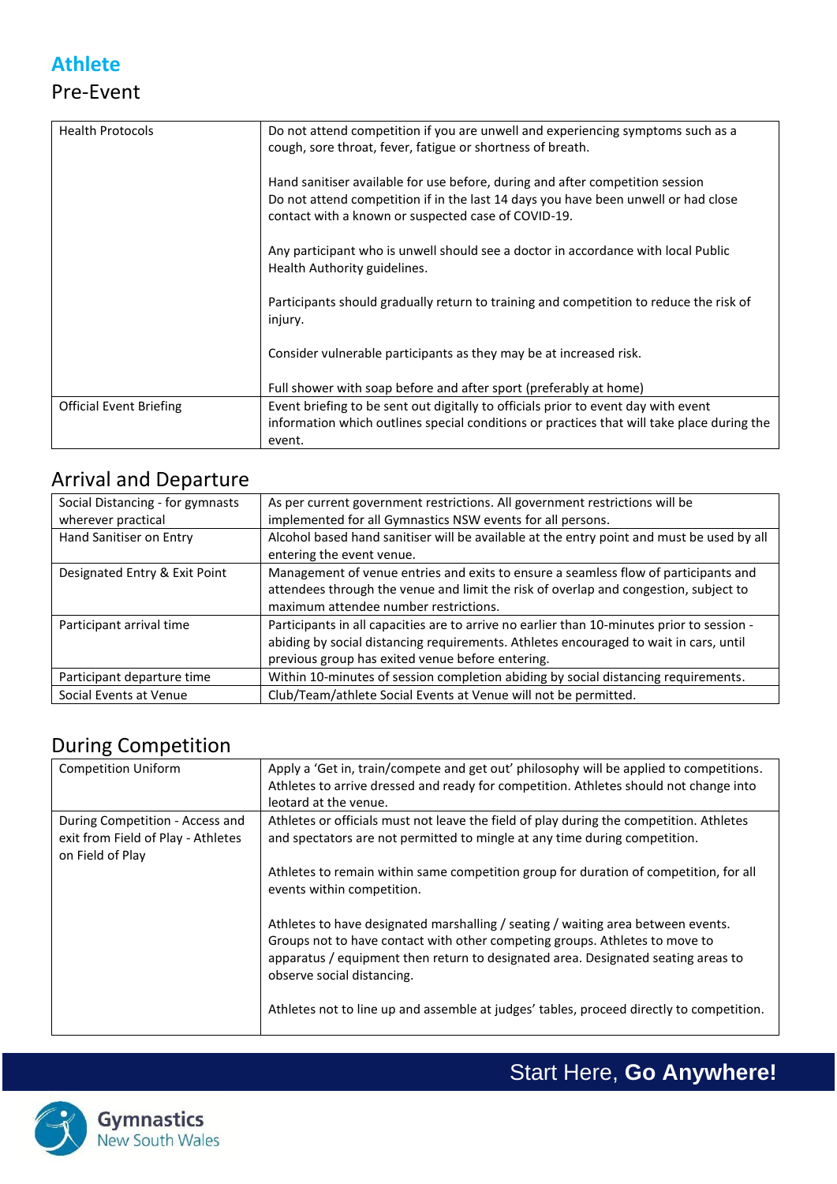#### **Athlete** Pre-Event

| <b>Health Protocols</b>        | Do not attend competition if you are unwell and experiencing symptoms such as a            |
|--------------------------------|--------------------------------------------------------------------------------------------|
|                                | cough, sore throat, fever, fatigue or shortness of breath.                                 |
|                                |                                                                                            |
|                                |                                                                                            |
|                                | Hand sanitiser available for use before, during and after competition session              |
|                                | Do not attend competition if in the last 14 days you have been unwell or had close         |
|                                | contact with a known or suspected case of COVID-19.                                        |
|                                |                                                                                            |
|                                |                                                                                            |
|                                | Any participant who is unwell should see a doctor in accordance with local Public          |
|                                | Health Authority guidelines.                                                               |
|                                |                                                                                            |
|                                | Participants should gradually return to training and competition to reduce the risk of     |
|                                | injury.                                                                                    |
|                                |                                                                                            |
|                                |                                                                                            |
|                                | Consider vulnerable participants as they may be at increased risk.                         |
|                                |                                                                                            |
|                                | Full shower with soap before and after sport (preferably at home)                          |
| <b>Official Event Briefing</b> | Event briefing to be sent out digitally to officials prior to event day with event         |
|                                | information which outlines special conditions or practices that will take place during the |
|                                | event.                                                                                     |
|                                |                                                                                            |

#### Arrival and Departure

| Social Distancing - for gymnasts | As per current government restrictions. All government restrictions will be                |
|----------------------------------|--------------------------------------------------------------------------------------------|
| wherever practical               | implemented for all Gymnastics NSW events for all persons.                                 |
| Hand Sanitiser on Entry          | Alcohol based hand sanitiser will be available at the entry point and must be used by all  |
|                                  | entering the event venue.                                                                  |
| Designated Entry & Exit Point    | Management of venue entries and exits to ensure a seamless flow of participants and        |
|                                  | attendees through the venue and limit the risk of overlap and congestion, subject to       |
|                                  | maximum attendee number restrictions.                                                      |
| Participant arrival time         | Participants in all capacities are to arrive no earlier than 10-minutes prior to session - |
|                                  | abiding by social distancing requirements. Athletes encouraged to wait in cars, until      |
|                                  | previous group has exited venue before entering.                                           |
| Participant departure time       | Within 10-minutes of session completion abiding by social distancing requirements.         |
| Social Events at Venue           | Club/Team/athlete Social Events at Venue will not be permitted.                            |

#### During Competition

| <b>Competition Uniform</b>         | Apply a 'Get in, train/compete and get out' philosophy will be applied to competitions.<br>Athletes to arrive dressed and ready for competition. Athletes should not change into<br>leotard at the venue.                                                                          |
|------------------------------------|------------------------------------------------------------------------------------------------------------------------------------------------------------------------------------------------------------------------------------------------------------------------------------|
| During Competition - Access and    | Athletes or officials must not leave the field of play during the competition. Athletes                                                                                                                                                                                            |
| exit from Field of Play - Athletes | and spectators are not permitted to mingle at any time during competition.                                                                                                                                                                                                         |
| on Field of Play                   |                                                                                                                                                                                                                                                                                    |
|                                    | Athletes to remain within same competition group for duration of competition, for all                                                                                                                                                                                              |
|                                    | events within competition.                                                                                                                                                                                                                                                         |
|                                    | Athletes to have designated marshalling / seating / waiting area between events.<br>Groups not to have contact with other competing groups. Athletes to move to<br>apparatus / equipment then return to designated area. Designated seating areas to<br>observe social distancing. |
|                                    | Athletes not to line up and assemble at judges' tables, proceed directly to competition.                                                                                                                                                                                           |



Start Here, **Go Anywhere!**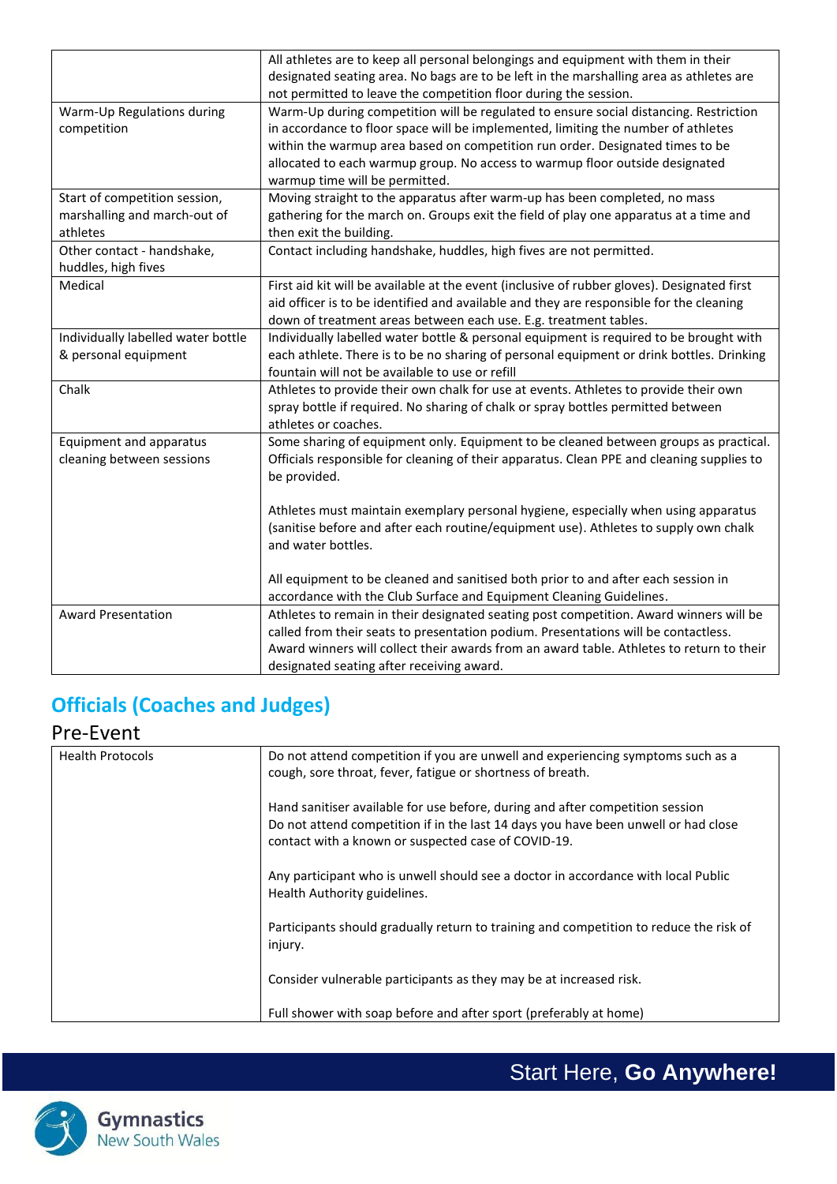|                                    | All athletes are to keep all personal belongings and equipment with them in their           |
|------------------------------------|---------------------------------------------------------------------------------------------|
|                                    | designated seating area. No bags are to be left in the marshalling area as athletes are     |
|                                    | not permitted to leave the competition floor during the session.                            |
| Warm-Up Regulations during         | Warm-Up during competition will be regulated to ensure social distancing. Restriction       |
| competition                        | in accordance to floor space will be implemented, limiting the number of athletes           |
|                                    | within the warmup area based on competition run order. Designated times to be               |
|                                    | allocated to each warmup group. No access to warmup floor outside designated                |
|                                    | warmup time will be permitted.                                                              |
| Start of competition session,      | Moving straight to the apparatus after warm-up has been completed, no mass                  |
| marshalling and march-out of       | gathering for the march on. Groups exit the field of play one apparatus at a time and       |
| athletes                           | then exit the building.                                                                     |
| Other contact - handshake,         | Contact including handshake, huddles, high fives are not permitted.                         |
| huddles, high fives                |                                                                                             |
| Medical                            | First aid kit will be available at the event (inclusive of rubber gloves). Designated first |
|                                    | aid officer is to be identified and available and they are responsible for the cleaning     |
|                                    | down of treatment areas between each use. E.g. treatment tables.                            |
| Individually labelled water bottle | Individually labelled water bottle & personal equipment is required to be brought with      |
| & personal equipment               | each athlete. There is to be no sharing of personal equipment or drink bottles. Drinking    |
|                                    | fountain will not be available to use or refill                                             |
| Chalk                              | Athletes to provide their own chalk for use at events. Athletes to provide their own        |
|                                    | spray bottle if required. No sharing of chalk or spray bottles permitted between            |
|                                    | athletes or coaches.                                                                        |
| Equipment and apparatus            | Some sharing of equipment only. Equipment to be cleaned between groups as practical.        |
| cleaning between sessions          | Officials responsible for cleaning of their apparatus. Clean PPE and cleaning supplies to   |
|                                    | be provided.                                                                                |
|                                    |                                                                                             |
|                                    | Athletes must maintain exemplary personal hygiene, especially when using apparatus          |
|                                    | (sanitise before and after each routine/equipment use). Athletes to supply own chalk        |
|                                    | and water bottles.                                                                          |
|                                    |                                                                                             |
|                                    | All equipment to be cleaned and sanitised both prior to and after each session in           |
|                                    | accordance with the Club Surface and Equipment Cleaning Guidelines.                         |
| <b>Award Presentation</b>          | Athletes to remain in their designated seating post competition. Award winners will be      |
|                                    | called from their seats to presentation podium. Presentations will be contactless.          |
|                                    | Award winners will collect their awards from an award table. Athletes to return to their    |
|                                    | designated seating after receiving award.                                                   |

### **Officials (Coaches and Judges)**

#### Pre-Event

| <b>Health Protocols</b> | Do not attend competition if you are unwell and experiencing symptoms such as a        |
|-------------------------|----------------------------------------------------------------------------------------|
|                         | cough, sore throat, fever, fatigue or shortness of breath.                             |
|                         |                                                                                        |
|                         | Hand sanitiser available for use before, during and after competition session          |
|                         | Do not attend competition if in the last 14 days you have been unwell or had close     |
|                         |                                                                                        |
|                         | contact with a known or suspected case of COVID-19.                                    |
|                         |                                                                                        |
|                         | Any participant who is unwell should see a doctor in accordance with local Public      |
|                         | Health Authority guidelines.                                                           |
|                         |                                                                                        |
|                         | Participants should gradually return to training and competition to reduce the risk of |
|                         |                                                                                        |
|                         | injury.                                                                                |
|                         |                                                                                        |
|                         | Consider vulnerable participants as they may be at increased risk.                     |
|                         |                                                                                        |
|                         | Full shower with soap before and after sport (preferably at home)                      |
|                         |                                                                                        |

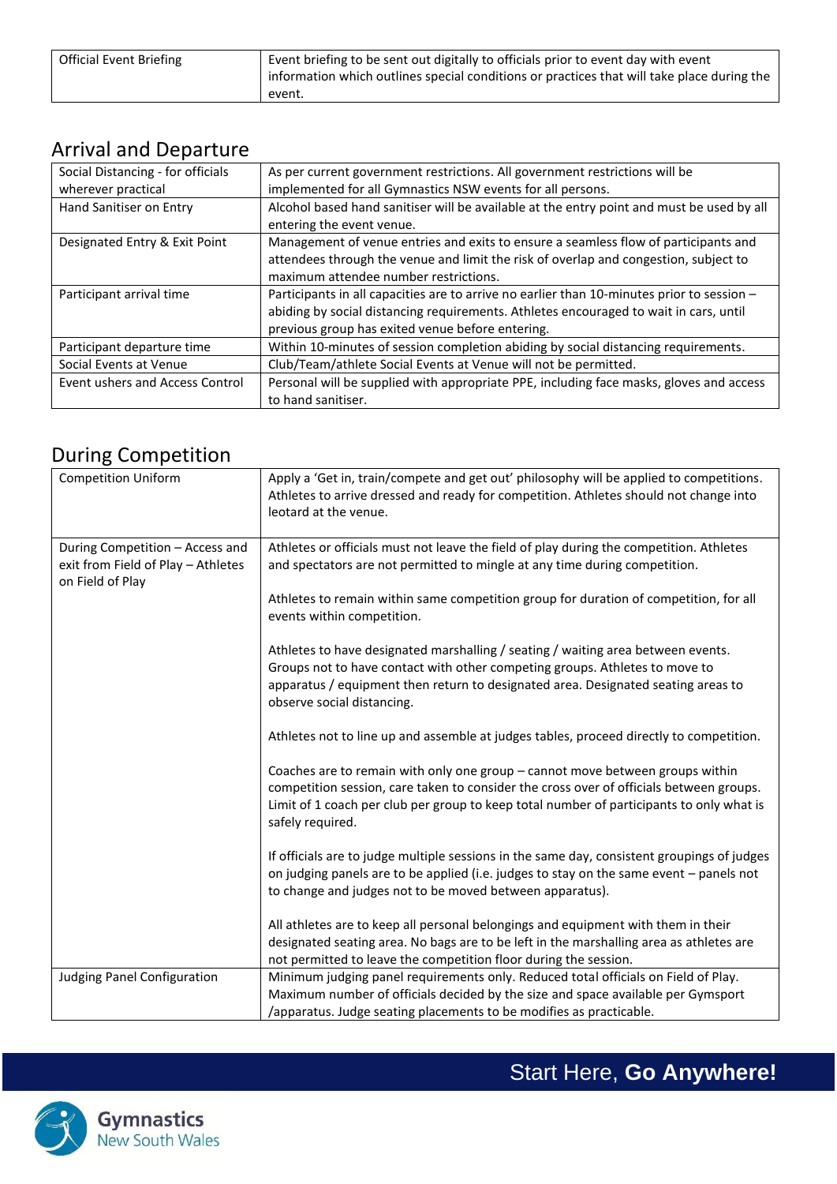| Official Event Briefing | Event briefing to be sent out digitally to officials prior to event day with event<br>information which outlines special conditions or practices that will take place during the |
|-------------------------|----------------------------------------------------------------------------------------------------------------------------------------------------------------------------------|
|                         | event.                                                                                                                                                                           |

#### Arrival and Departure

| Social Distancing - for officials<br>wherever practical | As per current government restrictions. All government restrictions will be<br>implemented for all Gymnastics NSW events for all persons.                                                                                               |
|---------------------------------------------------------|-----------------------------------------------------------------------------------------------------------------------------------------------------------------------------------------------------------------------------------------|
| Hand Sanitiser on Entry                                 | Alcohol based hand sanitiser will be available at the entry point and must be used by all<br>entering the event venue.                                                                                                                  |
| Designated Entry & Exit Point                           | Management of venue entries and exits to ensure a seamless flow of participants and<br>attendees through the venue and limit the risk of overlap and congestion, subject to<br>maximum attendee number restrictions.                    |
| Participant arrival time                                | Participants in all capacities are to arrive no earlier than 10-minutes prior to session -<br>abiding by social distancing requirements. Athletes encouraged to wait in cars, until<br>previous group has exited venue before entering. |
| Participant departure time                              | Within 10-minutes of session completion abiding by social distancing requirements.                                                                                                                                                      |
| Social Events at Venue                                  | Club/Team/athlete Social Events at Venue will not be permitted.                                                                                                                                                                         |
| Event ushers and Access Control                         | Personal will be supplied with appropriate PPE, including face masks, gloves and access<br>to hand sanitiser.                                                                                                                           |

#### During Competition

| ັ                                                                                         |                                                                                                                                                                                                                                                                                          |
|-------------------------------------------------------------------------------------------|------------------------------------------------------------------------------------------------------------------------------------------------------------------------------------------------------------------------------------------------------------------------------------------|
| <b>Competition Uniform</b>                                                                | Apply a 'Get in, train/compete and get out' philosophy will be applied to competitions.<br>Athletes to arrive dressed and ready for competition. Athletes should not change into<br>leotard at the venue.                                                                                |
| During Competition - Access and<br>exit from Field of Play - Athletes<br>on Field of Play | Athletes or officials must not leave the field of play during the competition. Athletes<br>and spectators are not permitted to mingle at any time during competition.                                                                                                                    |
|                                                                                           | Athletes to remain within same competition group for duration of competition, for all<br>events within competition.                                                                                                                                                                      |
|                                                                                           | Athletes to have designated marshalling / seating / waiting area between events.<br>Groups not to have contact with other competing groups. Athletes to move to<br>apparatus / equipment then return to designated area. Designated seating areas to<br>observe social distancing.       |
|                                                                                           | Athletes not to line up and assemble at judges tables, proceed directly to competition.                                                                                                                                                                                                  |
|                                                                                           | Coaches are to remain with only one group - cannot move between groups within<br>competition session, care taken to consider the cross over of officials between groups.<br>Limit of 1 coach per club per group to keep total number of participants to only what is<br>safely required. |
|                                                                                           | If officials are to judge multiple sessions in the same day, consistent groupings of judges<br>on judging panels are to be applied (i.e. judges to stay on the same event - panels not<br>to change and judges not to be moved between apparatus).                                       |
|                                                                                           | All athletes are to keep all personal belongings and equipment with them in their<br>designated seating area. No bags are to be left in the marshalling area as athletes are<br>not permitted to leave the competition floor during the session.                                         |
| <b>Judging Panel Configuration</b>                                                        | Minimum judging panel requirements only. Reduced total officials on Field of Play.<br>Maximum number of officials decided by the size and space available per Gymsport<br>/apparatus. Judge seating placements to be modifies as practicable.                                            |